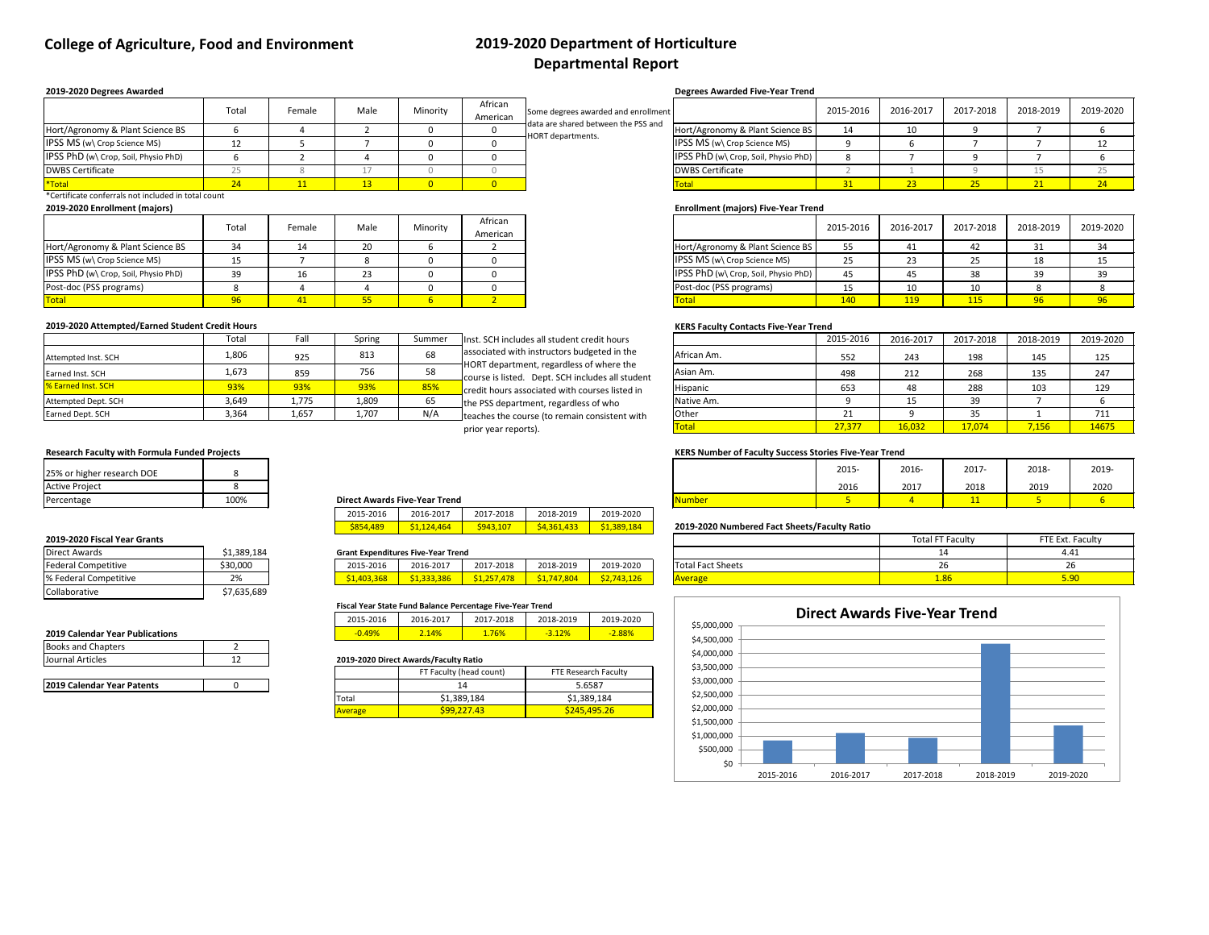# **College of Agriculture, Food and Environment 2019-2020 Department of Horticulture**

# **Departmental Report**

\*Certificate conferrals not included in total count

|                                      | Total | Female | Male     | Minority | African<br>American |
|--------------------------------------|-------|--------|----------|----------|---------------------|
| Hort/Agronomy & Plant Science BS     |       |        | 20       |          |                     |
| <b>IPSS MS (w) Crop Science MS)</b>  |       |        |          |          |                     |
| IPSS PhD (w\ Crop, Soil, Physio PhD) | 39    |        | າາ<br>بے |          |                     |
| Post-doc (PSS programs)              |       |        |          |          |                     |
| <b>Total</b>                         |       |        |          |          |                     |

#### **2019-2020 Attempted/Earned Student Credit Hours Contacts Five-Year Trend**

|                                      | Total | Female | Male | Minority | African<br>American |
|--------------------------------------|-------|--------|------|----------|---------------------|
| Hort/Agronomy & Plant Science BS     |       |        |      |          |                     |
| IPSS MS (w\ Crop Science MS)         |       |        |      |          |                     |
| IPSS PhD (w\ Crop, Soil, Physio PhD) | 39    |        | 23.  |          |                     |
| Post-doc (PSS programs)              |       |        |      |          |                     |
| Total                                |       |        |      |          |                     |

| Total | Fall  | Spring | Summer | Inst. SCH includes all student credit hours                                                  |              | 2015-2016 | 2016-2017 | 2017-2018 | 2018-2019 | 2019-2020 |
|-------|-------|--------|--------|----------------------------------------------------------------------------------------------|--------------|-----------|-----------|-----------|-----------|-----------|
| 1,806 | 925   | 813    | 68     | associated with instructors budgeted in the                                                  | African Am.  | 552       | 243       | 198       | 145       | 125       |
| 1,673 | 859   | 756    | 58     | HORT department, regardless of where the<br>course is listed. Dept. SCH includes all student | Asian Am.    | 498       | 212       | 268       | 135       | 247       |
| 93%   | 93%   | 93%    | 85%    | credit hours associated with courses listed in                                               | Hispanic     | 653       | 48        | 288       | 103       | 129       |
| 3,649 | 1,775 | 1,809  | 65     | the PSS department, regardless of who                                                        | Native Am.   |           | 15        | 39        |           |           |
| 3,364 | 1,657 | 1,707  | N/A    | Iteaches the course (to remain consistent with                                               | Other        |           |           | 35        |           | 711       |
|       |       |        |        | prior year reports).                                                                         | <b>Total</b> | 27,377    | 16,032    | 17,074    | 7,156     | 14675     |

## **Research Faculty with Formula Funded Projects KERS Number of Faculty Success Stories Five-Year Trend**

|                                      | Total | Female | Male | Minority | African<br>American | Some degrees awarded and enrollment                      |                                      | 2015-2016 | 2016-2017 | 2017-2018       | 2018-2019 | 2019-2020 |
|--------------------------------------|-------|--------|------|----------|---------------------|----------------------------------------------------------|--------------------------------------|-----------|-----------|-----------------|-----------|-----------|
| Hort/Agronomy & Plant Science BS     |       |        |      |          |                     | data are shared between the PSS and<br>HORT departments. | Hort/Agronomy & Plant Science BS     |           | 10        |                 |           |           |
| IPSS MS (w\ Crop Science MS)         |       |        |      |          |                     |                                                          | <b>IPSS MS (w) Crop Science MS)</b>  |           |           |                 |           |           |
| IPSS PhD (w\ Crop, Soil, Physio PhD) |       |        |      |          |                     |                                                          | IPSS PhD (w\ Crop, Soil, Physio PhD) |           |           |                 |           |           |
| <b>DWBS Certificate</b>              |       |        |      |          |                     |                                                          | <b>DWBS Certificate</b>              |           |           |                 |           |           |
| *Total                               |       |        |      |          |                     |                                                          | <b>Total</b>                         |           |           | 25 <sub>2</sub> |           |           |

|                                      | Total | Female | Male | Minority | African<br>American | Some degrees awarded and enrollment                             |                                      | 2015-2016 | 2016-2017 | 2017-2018 | 2018-2019 | 2019-2 |
|--------------------------------------|-------|--------|------|----------|---------------------|-----------------------------------------------------------------|--------------------------------------|-----------|-----------|-----------|-----------|--------|
| Hort/Agronomy & Plant Science BS     |       |        |      |          |                     | data are shared between the PSS and<br><b>HORT</b> departments. | Hort/Agronomy & Plant Science BS     |           |           |           |           |        |
| IPSS MS (w\ Crop Science MS)         |       |        |      |          |                     |                                                                 | <b>IPSS MS (w) Crop Science MS)</b>  |           |           |           |           |        |
| IPSS PhD (w\ Crop, Soil, Physio PhD) |       |        |      |          |                     |                                                                 | IPSS PhD (w\ Crop, Soil, Physio PhD) |           |           |           |           |        |
| <b>DWBS Certificate</b>              |       |        |      |          |                     |                                                                 | <b>DWBS Certificate</b>              |           |           |           |           |        |
| $\mathbf{z}$                         |       |        |      |          |                     |                                                                 |                                      |           |           |           |           |        |

| 25% or higher research DOE |      |                                      |              | 2015- | 2016- | 2017- | 2018- | 2019 |
|----------------------------|------|--------------------------------------|--------------|-------|-------|-------|-------|------|
| <b>Active Project</b>      |      |                                      |              | 2016  | 2017  | 2018  | 2019  | 2020 |
| Percentage                 | 100% | <b>Direct Awards Five-Year Trend</b> | <b>Numbe</b> |       |       |       |       |      |

| 2015-2016       | 2016-2017              | 2017-2018       | 2018-2019  | 2019-2020              |
|-----------------|------------------------|-----------------|------------|------------------------|
| <b>S854,489</b> | S <sub>1.124.464</sub> | <b>S943,107</b> | S4,361,433 | S <sub>1.389.184</sub> |

#### **Grant Expenditures Five-Year Trend**

## \$854,489 \$1,124,464 \$943,107 \$4,361,433 \$1,389,184 **2019-2020 Numbered Fact Sheets/Faculty Ratio**

#### **2019-2020 Fiscal Year Grants**

| <b>Federal Competitive</b> | \$30,000                 | 2015-2016                                                    | 2016-2017 | 7-2018<br>201     | 2018-2019                 | 2019-2020       | . .<br><b>Total Fact Sheets</b><br>נו סגג אוכבנא |
|----------------------------|--------------------------|--------------------------------------------------------------|-----------|-------------------|---------------------------|-----------------|--------------------------------------------------|
| % Federal Competitive      | <b>つ</b> 0/<br>$\sim$ /0 | 200<br>$\overline{a}$ and $\overline{a}$<br>.500<br><u>.</u> | 33.386    | 478<br><b>SOF</b> | .804<br>$-$<br><u>J.,</u> | 43.126<br>$-12$ | <b>COMPANY</b><br><b>IAV</b>                     |

|                            | Tota  | Fall  | Spring | Summer | Inst. SCH includes all student credit hours                                                            |                 | 2015-2016                   | 2016-2017        | 2017-2018   | 2018-2019 | 2019-2                                                      |
|----------------------------|-------|-------|--------|--------|--------------------------------------------------------------------------------------------------------|-----------------|-----------------------------|------------------|-------------|-----------|-------------------------------------------------------------|
| Attempted Inst. SCH        | 1,806 | 925   | 813    | 68     | associated with instructors budgeted in the                                                            | African Am.     | 552                         | 243              | 198         | 145       | 125                                                         |
| Earned Inst. SCH           | 1,673 | 859   | 756    |        | $\dagger$ HORT department, regardless of where the<br>course is listed. Dept. SCH includes all student | Asian Am.       | 498                         | 212              | 268         | 135       | 247                                                         |
| <b>1% Earned Inst. SCH</b> | 93%   | 93%   | 93%    | 85%    | credit hours associated with courses listed in                                                         | <b>Hispanic</b> | 653                         |                  | 288         | 103       | 129                                                         |
| Attempted Dept. SCH        | 3,649 | 1,775 | 1,809  |        | the PSS department, regardless of who                                                                  | Native Am.      |                             |                  | 39          |           |                                                             |
| Earned Dept. SCH           | 3,364 | 1,657 | 1,707  | N/A    | teaches the course (to remain consistent with                                                          | Other           |                             |                  | 35          |           | 711                                                         |
|                            |       |       |        |        |                                                                                                        |                 | $\sim$ $\sim$ $\sim$ $\sim$ | $\overline{100}$ | $2 - 2 - 1$ | $  -$     | $\overline{a}$ $\overline{a}$ $\overline{a}$ $\overline{a}$ |

| <b>Direct Awards</b>       | \$1,389,184 |
|----------------------------|-------------|
| <b>Federal Competitive</b> | \$30,000    |
| % Federal Competitive      | 2%          |
| Collaborative              | \$7,635,689 |

#### **2019 Calendar Year Publications**

#### **Fiscal Year State Fund Balance Percentage Five-Year Trend**

| 2015-2016 | 2016-2017 | 2017-2018 | 2018-2019 | 2019-2020 |
|-----------|-----------|-----------|-----------|-----------|
| $-0.49%$  | .4%       | 76%       | $-3.12%$  | $-2.88%$  |

#### 2019-2020 Direct Awards/Faculty Ratio

| <b>Books and Chapters</b> |  |
|---------------------------|--|
| Journal Articles          |  |
|                           |  |

| 2019 Calendar Year Patents |  |
|----------------------------|--|
|                            |  |

#### **Degrees Awarded Five-Year Trend**

#### **Enrollment (majors) Five-Year Trend**

#### **2019-2020 Degrees Awarded**

#### **2019-2020 Enrollment (majors)**

| <b>Total FT Faculty</b> | FTE Ext. Faculty |  |  |  |
|-------------------------|------------------|--|--|--|
| 14                      | 441              |  |  |  |
| ንհ                      | 26               |  |  |  |
| 1.86                    | ק ar             |  |  |  |

|                | FT Faculty (head count) | FTE Research Faculty |
|----------------|-------------------------|----------------------|
|                | 14                      | 5.6587               |
| Total          | \$1,389,184             | \$1,389,184          |
| <b>Average</b> | \$99,227.43             | \$245,495.26         |

prior year reports).

| 25% or higher research DOE |      |
|----------------------------|------|
| <b>Active Project</b>      |      |
| Percentage                 | 100% |